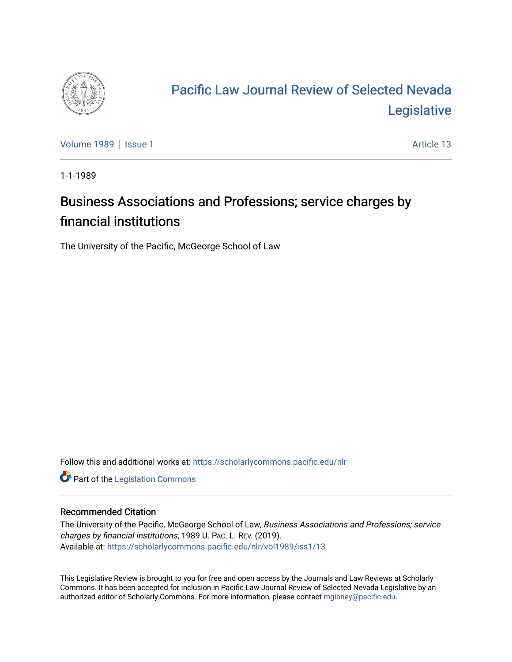

## [Pacific Law Journal Review of Selected Nevada](https://scholarlycommons.pacific.edu/nlr)  [Legislative](https://scholarlycommons.pacific.edu/nlr)

[Volume 1989](https://scholarlycommons.pacific.edu/nlr/vol1989) | [Issue 1](https://scholarlycommons.pacific.edu/nlr/vol1989/iss1) Article 13

1-1-1989

## Business Associations and Professions; service charges by financial institutions

The University of the Pacific, McGeorge School of Law

Follow this and additional works at: [https://scholarlycommons.pacific.edu/nlr](https://scholarlycommons.pacific.edu/nlr?utm_source=scholarlycommons.pacific.edu%2Fnlr%2Fvol1989%2Fiss1%2F13&utm_medium=PDF&utm_campaign=PDFCoverPages) 

**Part of the [Legislation Commons](http://network.bepress.com/hgg/discipline/859?utm_source=scholarlycommons.pacific.edu%2Fnlr%2Fvol1989%2Fiss1%2F13&utm_medium=PDF&utm_campaign=PDFCoverPages)** 

## Recommended Citation

The University of the Pacific, McGeorge School of Law, Business Associations and Professions; service charges by financial institutions, 1989 U. PAC. L. REV. (2019). Available at: [https://scholarlycommons.pacific.edu/nlr/vol1989/iss1/13](https://scholarlycommons.pacific.edu/nlr/vol1989/iss1/13?utm_source=scholarlycommons.pacific.edu%2Fnlr%2Fvol1989%2Fiss1%2F13&utm_medium=PDF&utm_campaign=PDFCoverPages)

This Legislative Review is brought to you for free and open access by the Journals and Law Reviews at Scholarly Commons. It has been accepted for inclusion in Pacific Law Journal Review of Selected Nevada Legislative by an authorized editor of Scholarly Commons. For more information, please contact [mgibney@pacific.edu](mailto:mgibney@pacific.edu).